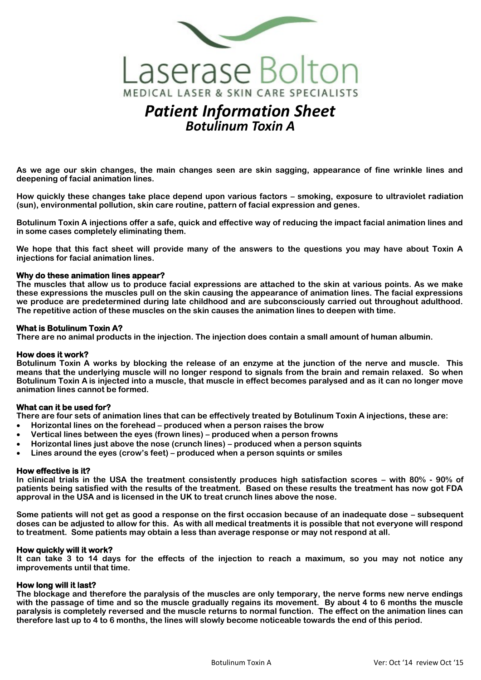

# *Patient Information Sheet Botulinum Toxin A*

**As we age our skin changes, the main changes seen are skin sagging, appearance of fine wrinkle lines and deepening of facial animation lines.** 

**How quickly these changes take place depend upon various factors – smoking, exposure to ultraviolet radiation (sun), environmental pollution, skin care routine, pattern of facial expression and genes.** 

**Botulinum Toxin A injections offer a safe, quick and effective way of reducing the impact facial animation lines and in some cases completely eliminating them.**

**We hope that this fact sheet will provide many of the answers to the questions you may have about Toxin A injections for facial animation lines.**

## **Why do these animation lines appear?**

**The muscles that allow us to produce facial expressions are attached to the skin at various points. As we make these expressions the muscles pull on the skin causing the appearance of animation lines. The facial expressions we produce are predetermined during late childhood and are subconsciously carried out throughout adulthood. The repetitive action of these muscles on the skin causes the animation lines to deepen with time.**

## **What is Botulinum Toxin A?**

**There are no animal products in the injection. The injection does contain a small amount of human albumin.**

## **How does it work?**

**Botulinum Toxin A works by blocking the release of an enzyme at the junction of the nerve and muscle. This means that the underlying muscle will no longer respond to signals from the brain and remain relaxed. So when Botulinum Toxin A is injected into a muscle, that muscle in effect becomes paralysed and as it can no longer move animation lines cannot be formed.**

## **What can it be used for?**

**There are four sets of animation lines that can be effectively treated by Botulinum Toxin A injections, these are:**

- **Horizontal lines on the forehead – produced when a person raises the brow**
- **Vertical lines between the eyes (frown lines) – produced when a person frowns**
- **Horizontal lines just above the nose (crunch lines) – produced when a person squints**
- **Lines around the eyes (crow's feet) – produced when a person squints or smiles**

## **How effective is it?**

**In clinical trials in the USA the treatment consistently produces high satisfaction scores – with 80% - 90% of patients being satisfied with the results of the treatment. Based on these results the treatment has now got FDA approval in the USA and is licensed in the UK to treat crunch lines above the nose.**

**Some patients will not get as good a response on the first occasion because of an inadequate dose – subsequent doses can be adjusted to allow for this. As with all medical treatments it is possible that not everyone will respond to treatment. Some patients may obtain a less than average response or may not respond at all.** 

## **How quickly will it work?**

**It can take 3 to 14 days for the effects of the injection to reach a maximum, so you may not notice any improvements until that time.**

## **How long will it last?**

**The blockage and therefore the paralysis of the muscles are only temporary, the nerve forms new nerve endings with the passage of time and so the muscle gradually regains its movement. By about 4 to 6 months the muscle paralysis is completely reversed and the muscle returns to normal function. The effect on the animation lines can therefore last up to 4 to 6 months, the lines will slowly become noticeable towards the end of this period.**